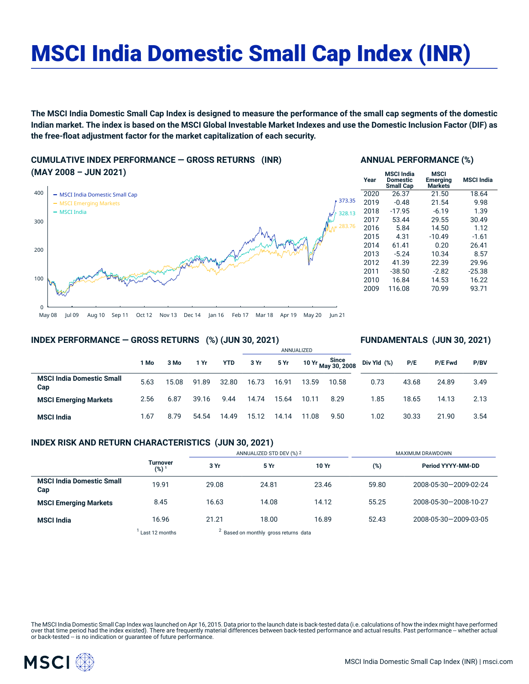# MSCI India Domestic Small Cap Index (INR)

The MSCI India Domestic Small Cap Index is designed to measure the performance of the small cap segments of the domestic Indian market. The index is based on the MSCI Global Investable Market Indexes and use the Domestic Inclusion Factor (DIF) as **the free-float adjustment factor for the market capitalization of each security.**

**CUMULATIVE INDEX PERFORMANCE — GROSS RETURNS (INR) (MAY 2008 – JUN 2021)**



## **ANNUAL PERFORMANCE (%)**

| Year | <b>MSCI India</b><br>Domestic<br><b>Small Cap</b> | MSCI<br>Emerging<br><b>Markets</b> | <b>MSCI India</b> |
|------|---------------------------------------------------|------------------------------------|-------------------|
| 2020 | 26.37                                             | 21.50                              | 18.64             |
| 2019 | $-0.48$                                           | 21.54                              | 9.98              |
| 2018 | $-17.95$                                          | $-6.19$                            | 1.39              |
| 2017 | 53.44                                             | 29.55                              | 30.49             |
| 2016 | 5.84                                              | 14.50                              | 1.12              |
| 2015 | 4.31                                              | $-10.49$                           | $-1.61$           |
| 2014 | 61.41                                             | 0.20                               | 26.41             |
| 2013 | $-5.24$                                           | 10.34                              | 8.57              |
| 2012 | 41.39                                             | 22.39                              | 29.96             |
| 2011 | $-38.50$                                          | $-2.82$                            | $-25.38$          |
| 2010 | 16.84                                             | 14.53                              | 16.22             |
| 2009 | 116.08                                            | 70.99                              | 93.71             |

## **INDEX PERFORMANCE — GROSS RETURNS (%) (JUN 30, 2021)**

## **FUNDAMENTALS (JUN 30, 2021)**

|                                         |      |       |       |            | ANNUALIZED |       |       |                                              |             |       |                |      |
|-----------------------------------------|------|-------|-------|------------|------------|-------|-------|----------------------------------------------|-------------|-------|----------------|------|
|                                         | 1 Mo | 3 Mo  | 1 Yr  | <b>YTD</b> | 3 Yr       | 5 Yr  |       | 10 Yr Since<br>10 Yr <sub>May</sub> 30, 2008 | Div Yld (%) | P/E   | <b>P/E Fwd</b> | P/BV |
| <b>MSCI India Domestic Small</b><br>Cap | 5.63 | 15.08 | 91.89 | 32.80      | 16.73      | 16.91 | 13.59 | 10.58                                        | 0.73        | 43.68 | 24.89          | 3.49 |
| <b>MSCI Emerging Markets</b>            | 2.56 | 6.87  | 39.16 | 9.44       | 14.74      | 15.64 | 10.11 | 8.29                                         | 1.85        | 18.65 | 14.13          | 2.13 |
| <b>MSCI India</b>                       | 1.67 | 8.79  | 54.54 | 14.49      | 15.12      | 14.14 | 11.08 | 9.50                                         | 1.02        | 30.33 | 21.90          | 3.54 |

# **INDEX RISK AND RETURN CHARACTERISTICS (JUN 30, 2021)**

|                                         |                                     | ANNUALIZED STD DEV (%) 2                         |       |       | MAXIMUM DRAWDOWN |                       |  |
|-----------------------------------------|-------------------------------------|--------------------------------------------------|-------|-------|------------------|-----------------------|--|
|                                         | <b>Turnover</b><br>(%) <sup>1</sup> | 3 Yr                                             | 5 Yr  | 10 Yr | (%)              | Period YYYY-MM-DD     |  |
| <b>MSCI India Domestic Small</b><br>Cap | 19.91                               | 29.08                                            | 24.81 | 23.46 | 59.80            | 2008-05-30-2009-02-24 |  |
| <b>MSCI Emerging Markets</b>            | 8.45                                | 16.63                                            | 14.08 | 14.12 | 55.25            | 2008-05-30-2008-10-27 |  |
| <b>MSCI India</b>                       | 16.96                               | 21.21                                            | 18.00 | 16.89 | 52.43            | 2008-05-30-2009-03-05 |  |
|                                         | Last 12 months                      | <sup>2</sup> Based on monthly gross returns data |       |       |                  |                       |  |

The MSCI India Domestic Small Cap Index was launched on Apr 16, 2015. Data prior to the launch date is back-tested data (i.e. calculations of how the index might have performed over that time period had the index existed). There are frequently material differences between back-tested performance and actual results. Past performance – whether actual<br>or back-tested – is no indication or guarantee o

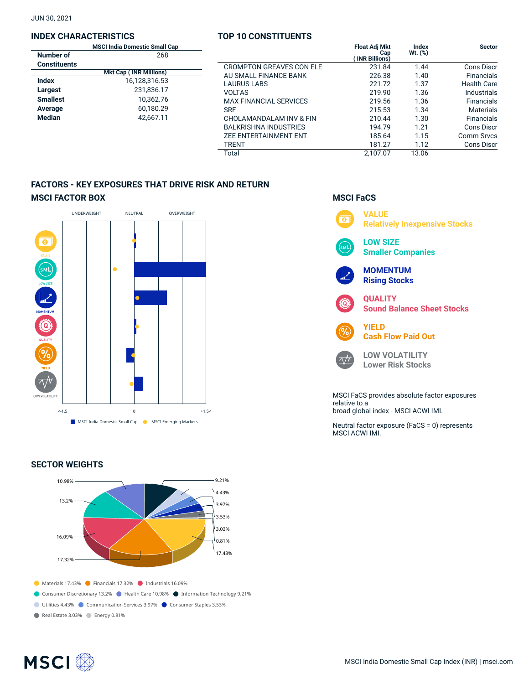JUN 30, 2021

## **INDEX CHARACTERISTICS**

|                     | <b>MSCI India Domestic Small Cap</b> |  |  |  |  |  |  |
|---------------------|--------------------------------------|--|--|--|--|--|--|
| Number of           | 268                                  |  |  |  |  |  |  |
| <b>Constituents</b> |                                      |  |  |  |  |  |  |
|                     | <b>Mkt Cap (INR Millions)</b>        |  |  |  |  |  |  |
| Index               | 16,128,316.53                        |  |  |  |  |  |  |
| Largest             | 231.836.17                           |  |  |  |  |  |  |
| <b>Smallest</b>     | 10.362.76                            |  |  |  |  |  |  |
| Average             | 60,180.29                            |  |  |  |  |  |  |
| <b>Median</b>       | 42,667.11                            |  |  |  |  |  |  |
|                     |                                      |  |  |  |  |  |  |

# **TOP 10 CONSTITUENTS**

| Cap<br>8 |                                 | <b>Float Adj Mkt</b><br>Cap<br><b>INR Billions)</b> | <b>Index</b><br>$Wt.$ (%) | <b>Sector</b>      |
|----------|---------------------------------|-----------------------------------------------------|---------------------------|--------------------|
|          | <b>CROMPTON GREAVES CON ELE</b> | 231.84                                              | 1.44                      | Cons Discr         |
|          | AU SMALL FINANCE BANK           | 226.38                                              | 1.40                      | <b>Financials</b>  |
|          | <b>LAURUS LABS</b>              | 221.72                                              | 1.37                      | <b>Health Care</b> |
|          | <b>VOLTAS</b>                   | 219.90                                              | 1.36                      | Industrials        |
| 6        | <b>MAX FINANCIAL SERVICES</b>   | 219.56                                              | 1.36                      | <b>Financials</b>  |
| g        | <b>SRF</b>                      | 215.53                                              | 1.34                      | <b>Materials</b>   |
|          | CHOLAMANDALAM INV & FIN         | 210.44                                              | 1.30                      | <b>Financials</b>  |
|          | <b>BALKRISHNA INDUSTRIES</b>    | 194.79                                              | 1.21                      | Cons Discr         |
|          | <b>ZEE ENTERTAINMENT ENT</b>    | 185.64                                              | 1.15                      | Comm Srvcs         |
|          | <b>TRENT</b>                    | 181.27                                              | 1.12                      | <b>Cons Discr</b>  |
|          | Total                           | 2.107.07                                            | 13.06                     |                    |

# **FACTORS - KEY EXPOSURES THAT DRIVE RISK AND RETURN MSCI FACTOR BOX**



# **SECTOR WEIGHTS**



# **MSCI FaCS**



broad global index - MSCI ACWI IMI.

Neutral factor exposure (FaCS = 0) represents MSCI ACWI IMI.